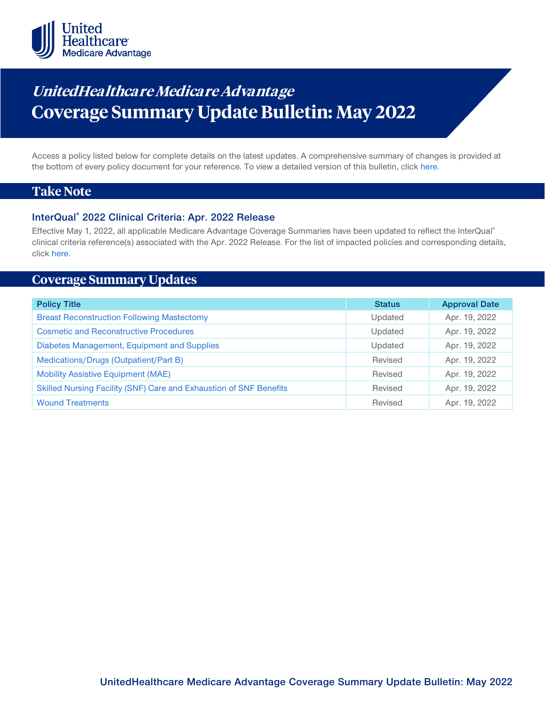

# **UnitedHealthca re Medicare Advantage Coverage Summary Update Bulletin: May 2022**

Access a policy listed below for complete details on the latest updates. A comprehensive summary of changes is provided at the bottom of every policy document for your reference. To view a detailed version of this bulletin, clic[k here.](https://www.uhcprovider.com/content/dam/provider/docs/public/policies/mpub-archives/macs/medicare-advantage-coverage-summary-update-bulletin-may-2022-full.pdf)

# **Take Note**

#### **InterQual® 2022 Clinical Criteria: Apr. 2022 Release**

Effective May 1, 2022, all applicable Medicare Advantage Coverage Summaries have been updated to reflect the InterQual® clinical criteria reference(s) associated with the Apr. 2022 Release. For the list of impacted policies and corresponding details, click [here.](https://www.uhcprovider.com/content/dam/provider/docs/public/policies/mpub-archives/macs/medicare-advantage-coverage-summary-update-bulletin-may-2022-full.pdf)

# **Coverage Summary Updates**

| <b>Policy Title</b>                                                | <b>Status</b> | <b>Approval Date</b> |
|--------------------------------------------------------------------|---------------|----------------------|
| <b>Breast Reconstruction Following Mastectomy</b>                  | Updated       | Apr. 19, 2022        |
| <b>Cosmetic and Reconstructive Procedures</b>                      | Updated       | Apr. 19, 2022        |
| Diabetes Management, Equipment and Supplies                        | Updated       | Apr. 19, 2022        |
| Medications/Drugs (Outpatient/Part B)                              | Revised       | Apr. 19, 2022        |
| <b>Mobility Assistive Equipment (MAE)</b>                          | Revised       | Apr. 19, 2022        |
| Skilled Nursing Facility (SNF) Care and Exhaustion of SNF Benefits | Revised       | Apr. 19, 2022        |
| <b>Wound Treatments</b>                                            | Revised       | Apr. 19, 2022        |